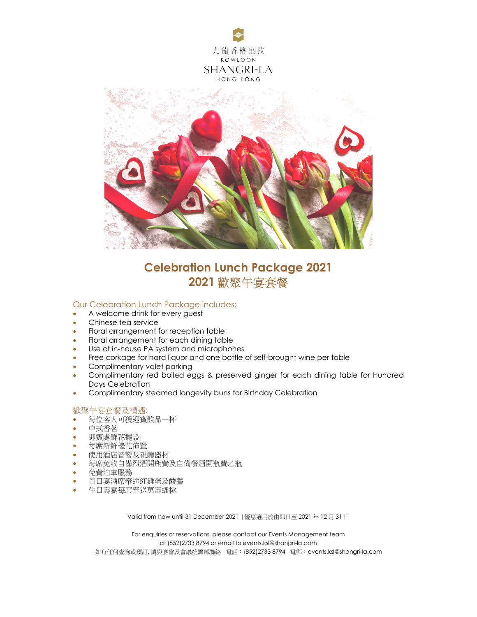



## Celebration Lunch Package 2021 2021 歡聚午宴套餐

## Our Celebration Lunch Package includes:

- A welcome drink for every quest
- Chinese tea service
- Floral arrangement for reception table
- Floral arrangement for each dining table
- Use of in-house PA system and microphones
- Free corkage for hard liquor and one bottle of self-brought wine per table
- **•** Complimentary valet parking
- Complimentary red boiled eggs & preserved ginger for each dining table for Hundred Days Celebration
- Complimentary steamed longevity buns for Birthday Celebration

## 歡聚午宴套餐及禮遇:

- 每位客人可獲迎賓飲品一杯
- 中式香茗
- 迎賓處鮮花擺設
- 每席新鮮檯花佈置
- 使用酒店音響及視聽器材
- 每席免收自備烈酒開瓶費及自備餐酒開瓶費乙瓶
- 免費泊車服務
- 百日宴酒席奉送紅雞蛋及酸薑
- 生日壽宴每席奉送萬壽蟠桃

Valid from now until 31 December 2021 |優惠適用於由即日至 2021 年 12 月 31 日

For enquiries or reservations, please contact our Events Management team at (852)2733 8794 or email to events.ksl@shangri-la.com 如有任何查詢或預訂,請與宴會及會議統籌部聯絡 電話:(852)2733 8794 電郵:events.ksl@shangri-la.com